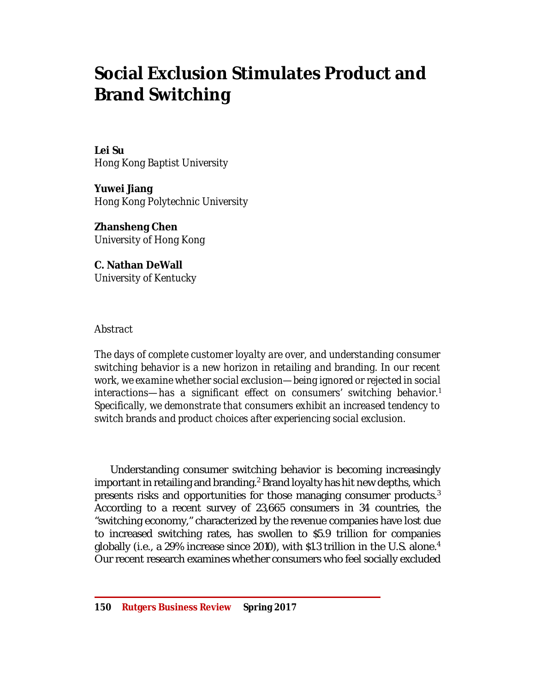# **Social Exclusion Stimulates Product and Brand Switching**

# **Lei Su**

*Hong Kong Baptist University*

**Yuwei Jiang**  *Hong Kong Polytechnic University*

**Zhansheng Chen** *University of Hong Kong*

**C. Nathan DeWall**  *University of Kentucky*

## *Abstract*

*The days of complete customer loyalty are over, and understanding consumer switching behavior is a new horizon in retailing and branding. In our recent work, we examine whether social exclusion—being ignored or rejected in social interactions—has a significant effect on consumers' switching behavior.<sup>1</sup> Specifically, we demonstrate that consumers exhibit an increased tendency to switch brands and product choices after experiencing social exclusion.*

Understanding consumer switching behavior is becoming increasingly important in retailing and branding.<sup>2</sup> Brand loyalty has hit new depths, which presents risks and opportunities for those managing consumer products.<sup>3</sup> According to a recent survey of 23,665 consumers in 34 countries, the "switching economy," characterized by the revenue companies have lost due to increased switching rates, has swollen to \$5.9 trillion for companies globally (i.e., a 29% increase since 2010), with \$1.3 trillion in the U.S. alone.<sup>4</sup> Our recent research examines whether consumers who feel socially excluded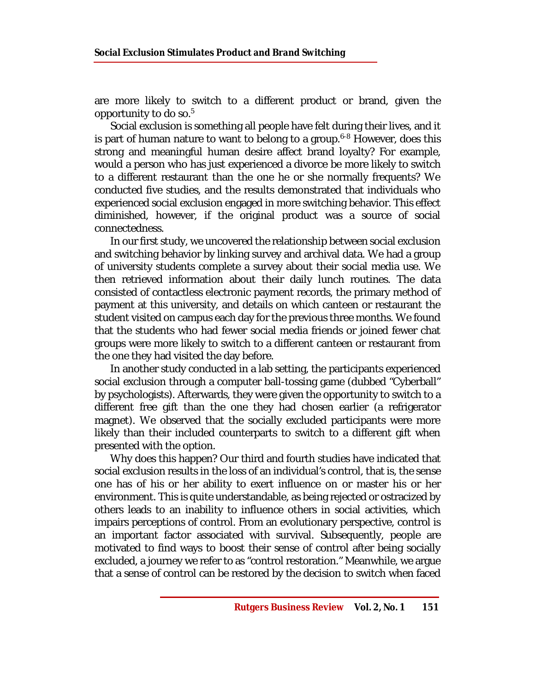are more likely to switch to a different product or brand, given the opportunity to do so. $5$ 

Social exclusion is something all people have felt during their lives, and it is part of human nature to want to belong to a group.<sup>6-8</sup> However, does this strong and meaningful human desire affect brand loyalty? For example, would a person who has just experienced a divorce be more likely to switch to a different restaurant than the one he or she normally frequents? We conducted five studies, and the results demonstrated that individuals who experienced social exclusion engaged in more switching behavior. This effect diminished, however, if the original product was a source of social connectedness.

In our first study, we uncovered the relationship between social exclusion and switching behavior by linking survey and archival data. We had a group of university students complete a survey about their social media use. We then retrieved information about their daily lunch routines. The data consisted of contactless electronic payment records, the primary method of payment at this university, and details on which canteen or restaurant the student visited on campus each day for the previous three months. We found that the students who had fewer social media friends or joined fewer chat groups were more likely to switch to a different canteen or restaurant from the one they had visited the day before.

In another study conducted in a lab setting, the participants experienced social exclusion through a computer ball-tossing game (dubbed "Cyberball" by psychologists). Afterwards, they were given the opportunity to switch to a different free gift than the one they had chosen earlier (a refrigerator magnet). We observed that the socially excluded participants were more likely than their included counterparts to switch to a different gift when presented with the option.

Why does this happen? Our third and fourth studies have indicated that social exclusion results in the loss of an individual's control, that is, the sense one has of his or her ability to exert influence on or master his or her environment. This is quite understandable, as being rejected or ostracized by others leads to an inability to influence others in social activities, which impairs perceptions of control. From an evolutionary perspective, control is an important factor associated with survival. Subsequently, people are motivated to find ways to boost their sense of control after being socially excluded, a journey we refer to as "control restoration." Meanwhile, we argue that a sense of control can be restored by the decision to switch when faced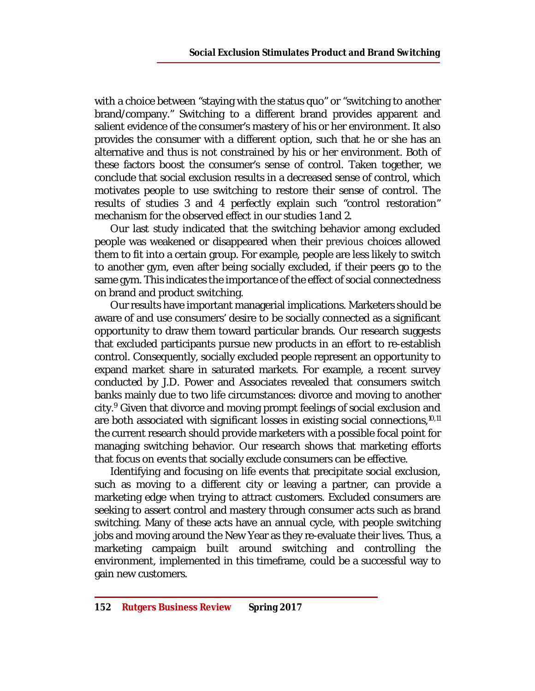with a choice between "staying with the status quo" or "switching to another brand/company." Switching to a different brand provides apparent and salient evidence of the consumer's mastery of his or her environment. It also provides the consumer with a different option, such that he or she has an alternative and thus is not constrained by his or her environment. Both of these factors boost the consumer's sense of control. Taken together, we conclude that social exclusion results in a decreased sense of control, which motivates people to use switching to restore their sense of control. The results of studies 3 and 4 perfectly explain such "control restoration" mechanism for the observed effect in our studies 1 and 2.

Our last study indicated that the switching behavior among excluded people was weakened or disappeared when their *previous* choices allowed them to fit into a certain group. For example, people are less likely to switch to another gym, even after being socially excluded, if their peers go to the same gym. This indicates the importance of the effect of social connectedness on brand and product switching.

Our results have important managerial implications. Marketers should be aware of and use consumers' desire to be socially connected as a significant opportunity to draw them toward particular brands. Our research suggests that excluded participants pursue new products in an effort to re-establish control. Consequently, socially excluded people represent an opportunity to expand market share in saturated markets. For example, a recent survey conducted by J.D. Power and Associates revealed that consumers switch banks mainly due to two life circumstances: divorce and moving to another city. <sup>9</sup> Given that divorce and moving prompt feelings of social exclusion and are both associated with significant losses in existing social connections,  $10,11$ the current research should provide marketers with a possible focal point for managing switching behavior. Our research shows that marketing efforts that focus on events that socially exclude consumers can be effective.

Identifying and focusing on life events that precipitate social exclusion, such as moving to a different city or leaving a partner, can provide a marketing edge when trying to attract customers. Excluded consumers are seeking to assert control and mastery through consumer acts such as brand switching. Many of these acts have an annual cycle, with people switching jobs and moving around the New Year as they re-evaluate their lives. Thus, a marketing campaign built around switching and controlling the environment, implemented in this timeframe, could be a successful way to gain new customers.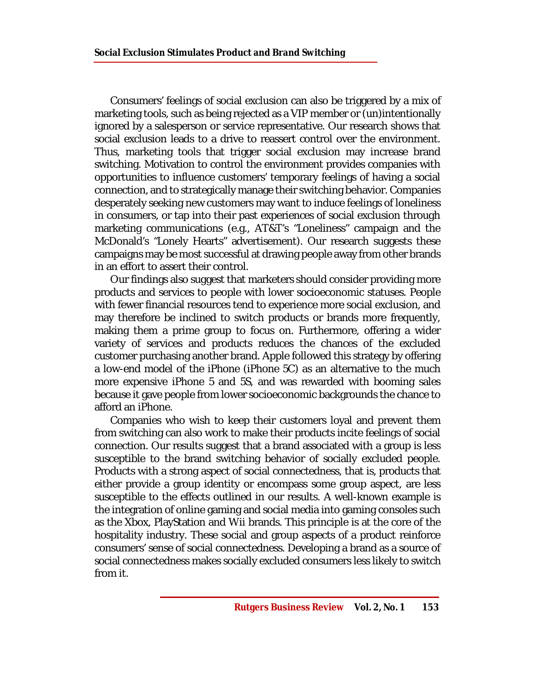Consumers' feelings of social exclusion can also be triggered by a mix of marketing tools, such as being rejected as a VIP member or (un)intentionally ignored by a salesperson or service representative. Our research shows that social exclusion leads to a drive to reassert control over the environment. Thus, marketing tools that trigger social exclusion may increase brand switching. Motivation to control the environment provides companies with opportunities to influence customers' temporary feelings of having a social connection, and to strategically manage their switching behavior. Companies desperately seeking new customers may want to induce feelings of loneliness in consumers, or tap into their past experiences of social exclusion through marketing communications (e.g., AT&T's "Loneliness" campaign and the McDonald's "Lonely Hearts" advertisement). Our research suggests these campaigns may be most successful at drawing people away from other brands in an effort to assert their control.

Our findings also suggest that marketers should consider providing more products and services to people with lower socioeconomic statuses. People with fewer financial resources tend to experience more social exclusion, and may therefore be inclined to switch products or brands more frequently, making them a prime group to focus on. Furthermore, offering a wider variety of services and products reduces the chances of the excluded customer purchasing another brand. Apple followed this strategy by offering a low-end model of the iPhone (iPhone 5C) as an alternative to the much more expensive iPhone 5 and 5S, and was rewarded with booming sales because it gave people from lower socioeconomic backgrounds the chance to afford an iPhone.

Companies who wish to keep their customers loyal and prevent them from switching can also work to make their products incite feelings of social connection. Our results suggest that a brand associated with a group is less susceptible to the brand switching behavior of socially excluded people. Products with a strong aspect of social connectedness, that is, products that either provide a group identity or encompass some group aspect, are less susceptible to the effects outlined in our results. A well-known example is the integration of online gaming and social media into gaming consoles such as the Xbox, PlayStation and Wii brands. This principle is at the core of the hospitality industry. These social and group aspects of a product reinforce consumers' sense of social connectedness. Developing a brand as a source of social connectedness makes socially excluded consumers less likely to switch from it.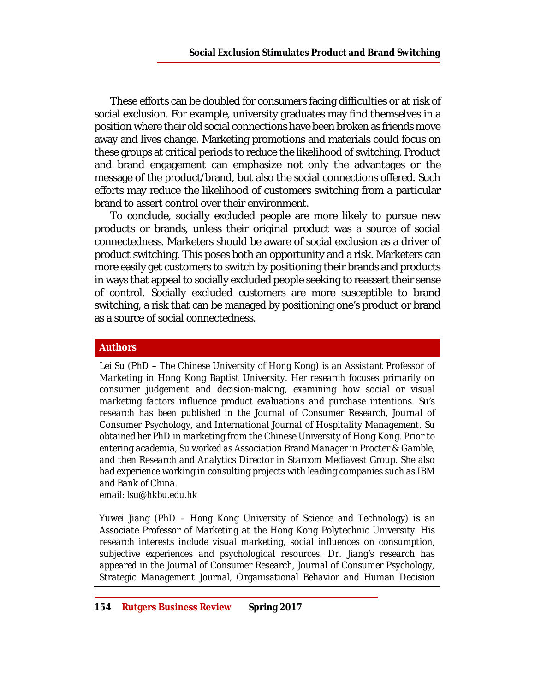These efforts can be doubled for consumers facing difficulties or at risk of social exclusion. For example, university graduates may find themselves in a position where their old social connections have been broken as friends move away and lives change. Marketing promotions and materials could focus on these groups at critical periods to reduce the likelihood of switching. Product and brand engagement can emphasize not only the advantages or the message of the product/brand, but also the social connections offered. Such efforts may reduce the likelihood of customers switching from a particular brand to assert control over their environment.

To conclude, socially excluded people are more likely to pursue new products or brands, unless their original product was a source of social connectedness. Marketers should be aware of social exclusion as a driver of product switching. This poses both an opportunity and a risk. Marketers can more easily get customers to switch by positioning their brands and products in ways that appeal to socially excluded people seeking to reassert their sense of control. Socially excluded customers are more susceptible to brand switching, a risk that can be managed by positioning one's product or brand as a source of social connectedness.

#### **Authors**

*Lei Su (PhD – The Chinese University of Hong Kong) is an Assistant Professor of Marketing in Hong Kong Baptist University. Her research focuses primarily on consumer judgement and decision-making, examining how social or visual marketing factors influence product evaluations and purchase intentions. Su's*  research has been published in the Journal of Consumer Research, Journal of *Consumer Psychology, and International Journal of Hospitality Management. Su obtained her PhD in marketing from the Chinese University of Hong Kong. Prior to entering academia, Su worked as Association Brand Manager in Procter & Gamble, and then Research and Analytics Director in Starcom Mediavest Group. She also had experience working in consulting projects with leading companies such as IBM and Bank of China.* 

*email: [lsu@hkbu.edu.hk](mailto:lsu@hkbu.edu.hk)*

*Yuwei Jiang (PhD – Hong Kong University of Science and Technology) is an Associate Professor of Marketing at the Hong Kong Polytechnic University. His research interests include visual marketing, social influences on consumption, subjective experiences and psychological resources. Dr. Jiang's research has appeared in the Journal of Consumer Research, Journal of Consumer Psychology, Strategic Management Journal, Organisational Behavior and Human Decision*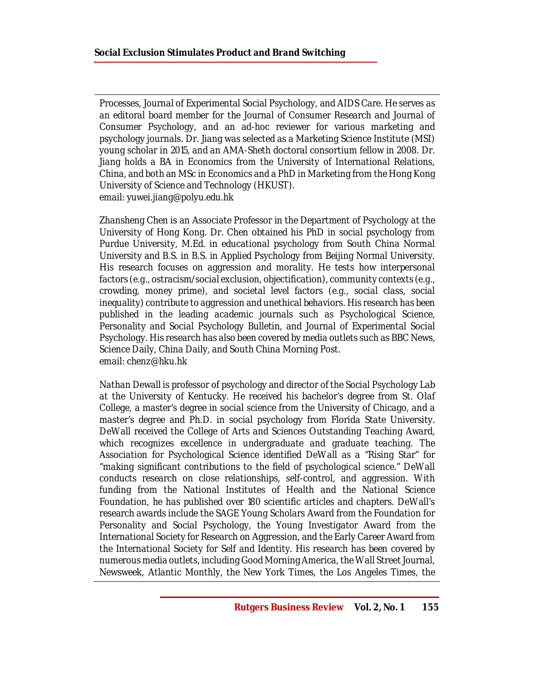*Processes, Journal of Experimental Social Psychology, and AIDS Care. He serves as an editoral board member for the Journal of Consumer Research and Journal of Consumer Psychology, and an ad-hoc reviewer for various marketing and psychology journals. Dr. Jiang was selected as a Marketing Science Institute (MSI) young scholar in 2015, and an AMA-Sheth doctoral consortium fellow in 2008. Dr. Jiang holds a BA in Economics from the University of International Relations, China, and both an MSc in Economics and a PhD in Marketing from the Hong Kong University of Science and Technology (HKUST). email: [yuwei.jiang@polyu.edu.hk](mailto:yuwei.jiang@polyu.edu.hk)*

*Zhansheng Chen is an Associate Professor in the Department of Psychology at the University of Hong Kong. Dr. Chen obtained his PhD in social psychology from Purdue University, M.Ed. in educational psychology from South China Normal University and B.S. in B.S. in Applied Psychology from Beijing Normal University. His research focuses on aggression and morality. He tests how interpersonal factors (e.g., ostracism/social exclusion, objectification), community contexts (e.g., crowding, money prime), and societal level factors (e.g., social class, social inequality) contribute to aggression and unethical behaviors. His research has been published in the leading academic journals such as Psychological Science, Personality and Social Psychology Bulletin, and Journal of Experimental Social Psychology. His research has also been covered by media outlets such as BBC News, Science Daily, China Daily, and South China Morning Post. email: [chenz@hku.hk](mailto:chenz@hku.hk)*

*Nathan Dewall is professor of psychology and director of the Social Psychology Lab at the University of Kentucky. He received his bachelor's degree from St. Olaf College, a master's degree in social science from the University of Chicago, and a master's degree and Ph.D. in social psychology from Florida State University. DeWall received the College of Arts and Sciences Outstanding Teaching Award, which recognizes excellence in undergraduate and graduate teaching. The Association for Psychological Science identified DeWall as a "Rising Star" for "making significant contributions to the field of psychological science." DeWall conducts research on close relationships, self-control, and aggression. With funding from the National Institutes of Health and the National Science Foundation, he has published over 180 scientific articles and chapters. DeWall's research awards include the SAGE Young Scholars Award from the Foundation for Personality and Social Psychology, the Young Investigator Award from the International Society for Research on Aggression, and the Early Career Award from the International Society for Self and Identity. His research has been covered by numerous media outlets, including Good Morning America, the Wall Street Journal, Newsweek, Atlantic Monthly, the New York Times, the Los Angeles Times, the*